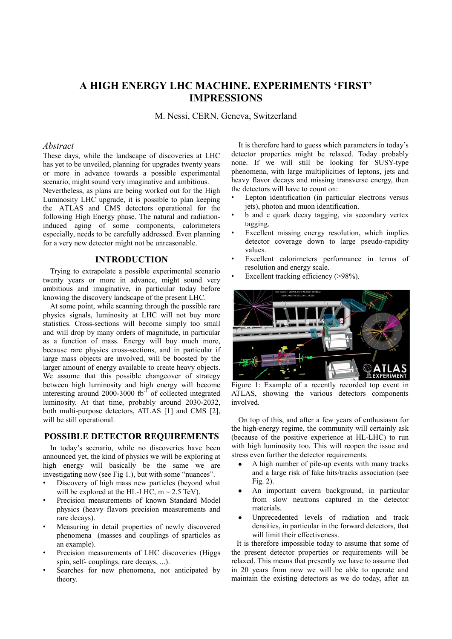# **A HIGH ENERGY LHC MACHINE. EXPERIMENTS 'FIRST' IMPRESSIONS**

M. Nessi, CERN, Geneva, Switzerland

## *Abstract*

These days, while the landscape of discoveries at LHC has yet to be unveiled, planning for upgrades twenty years or more in advance towards a possible experimental scenario, might sound very imaginative and ambitious.

Nevertheless, as plans are being worked out for the High Luminosity LHC upgrade, it is possible to plan keeping the ATLAS and CMS detectors operational for the following High Energy phase. The natural and radiationinduced aging of some components, calorimeters especially, needs to be carefully addressed. Even planning for a very new detector might not be unreasonable.

#### **INTRODUCTION**

Trying to extrapolate a possible experimental scenario twenty years or more in advance, might sound very ambitious and imaginative, in particular today before knowing the discovery landscape of the present LHC.

At some point, while scanning through the possible rare physics signals, luminosity at LHC will not buy more statistics. Cross-sections will become simply too small and will drop by many orders of magnitude, in particular as a function of mass. Energy will buy much more, because rare physics cross-sections, and in particular if large mass objects are involved, will be boosted by the larger amount of energy available to create heavy objects. We assume that this possible changeover of strategy between high luminosity and high energy will become interesting around 2000-3000 fb<sup>-1</sup> of collected integrated luminosity. At that time, probably around 2030-2032, both multi-purpose detectors, ATLAS [1] and CMS [2], will be still operational.

# **POSSIBLE DETECTOR REQUIREMENTS**

In today's scenario, while no discoveries have been announced yet, the kind of physics we will be exploring at high energy will basically be the same we are investigating now (see Fig 1.), but with some "nuances".

- Discovery of high mass new particles (beyond what will be explored at the HL-LHC,  $m \sim 2.5$  TeV).
- Precision measurements of known Standard Model physics (heavy flavors precision measurements and rare decays).
- Measuring in detail properties of newly discovered phenomena (masses and couplings of sparticles as an example).
- Precision measurements of LHC discoveries (Higgs spin, self- couplings, rare decays, ...).
- Searches for new phenomena, not anticipated by theory.

It is therefore hard to guess which parameters in today's detector properties might be relaxed. Today probably none. If we will still be looking for SUSY-type phenomena, with large multiplicities of leptons, jets and heavy flavor decays and missing transverse energy, then the detectors will have to count on:

- Lepton identification (in particular electrons versus jets), photon and muon identification.
- b and c quark decay tagging, via secondary vertex tagging.
- Excellent missing energy resolution, which implies detector coverage down to large pseudo-rapidity values.
- Excellent calorimeters performance in terms of resolution and energy scale.
	- Excellent tracking efficiency (>98%).



Figure 1: Example of a recently recorded top event in ATLAS, showing the various detectors components involved.

On top of this, and after a few years of enthusiasm for the high-energy regime, the community will certainly ask (because of the positive experience at HL-LHC) to run with high luminosity too. This will reopen the issue and stress even further the detector requirements.

- A high number of pile-up events with many tracks and a large risk of fake hits/tracks association (see Fig. 2).
- An important cavern background, in particular from slow neutrons captured in the detector materials.
- Unprecedented levels of radiation and track densities, in particular in the forward detectors, that will limit their effectiveness.

It is therefore impossible today to assume that some of the present detector properties or requirements will be relaxed. This means that presently we have to assume that in 20 years from now we will be able to operate and maintain the existing detectors as we do today, after an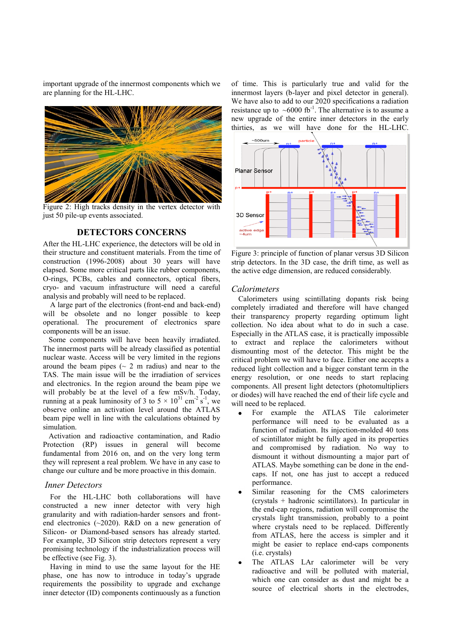important upgrade of the innermost components which we are planning for the HL-LHC.



Figure 2: High tracks density in the vertex detector with just 50 pile-up events associated.

## **DETECTORS CONCERNS**

After the HL-LHC experience, the detectors will be old in their structure and constituent materials. From the time of construction (1996-2008) about 30 years will have elapsed. Some more critical parts like rubber components, O-rings, PCBs, cables and connectors, optical fibers, cryo- and vacuum infrastructure will need a careful analysis and probably will need to be replaced.

A large part of the electronics (front-end and back-end) will be obsolete and no longer possible to keep operational. The procurement of electronics spare components will be an issue.

 Some components will have been heavily irradiated. The innermost parts will be already classified as potential nuclear waste. Access will be very limited in the regions around the beam pipes ( $\sim$  2 m radius) and near to the TAS. The main issue will be the irradiation of services and electronics. In the region around the beam pipe we will probably be at the level of a few mSv/h. Today, running at a peak luminosity of 3 to  $5 \times 10^{31}$  cm<sup>-2</sup> s<sup>-1</sup>, we observe online an activation level around the ATLAS beam pipe well in line with the calculations obtained by simulation.

 Activation and radioactive contamination, and Radio Protection (RP) issues in general will become fundamental from 2016 on, and on the very long term they will represent a real problem. We have in any case to change our culture and be more proactive in this domain.

## *Inner Detectors*

For the HL-LHC both collaborations will have constructed a new inner detector with very high granularity and with radiation-harder sensors and frontend electronics (~2020). R&D on a new generation of Silicon- or Diamond-based sensors has already started. For example, 3D Silicon strip detectors represent a very promising technology if the industrialization process will be effective (see Fig. 3).

Having in mind to use the same layout for the HE phase, one has now to introduce in today's upgrade requirements the possibility to upgrade and exchange inner detector (ID) components continuously as a function of time. This is particularly true and valid for the innermost layers (b-layer and pixel detector in general). We have also to add to our 2020 specifications a radiation resistance up to  $~\sim 6000$  fb<sup>-1</sup>. The alternative is to assume a new upgrade of the entire inner detectors in the early thirties, as we will have done for the HL-LHC.



Figure 3: principle of function of planar versus 3D Silicon strip detectors. In the 3D case, the drift time, as well as the active edge dimension, are reduced considerably.

## *Calorimeters*

Calorimeters using scintillating dopants risk being completely irradiated and therefore will have changed their transparency property regarding optimum light collection. No idea about what to do in such a case. Especially in the ATLAS case, it is practically impossible to extract and replace the calorimeters without dismounting most of the detector. This might be the critical problem we will have to face. Either one accepts a reduced light collection and a bigger constant term in the energy resolution, or one needs to start replacing components. All present light detectors (photomultipliers or diodes) will have reached the end of their life cycle and will need to be replaced.

- For example the ATLAS Tile calorimeter performance will need to be evaluated as a function of radiation. Its injection-molded 40 tons of scintillator might be fully aged in its properties and compromised by radiation. No way to dismount it without dismounting a major part of ATLAS. Maybe something can be done in the endcaps. If not, one has just to accept a reduced performance.
- Similar reasoning for the CMS calorimeters (crystals + hadronic scintillators). In particular in the end-cap regions, radiation will compromise the crystals light transmission, probably to a point where crystals need to be replaced. Differently from ATLAS, here the access is simpler and it might be easier to replace end-caps components (i.e. crystals)
- The ATLAS LAr calorimeter will be very radioactive and will be polluted with material, which one can consider as dust and might be a source of electrical shorts in the electrodes,